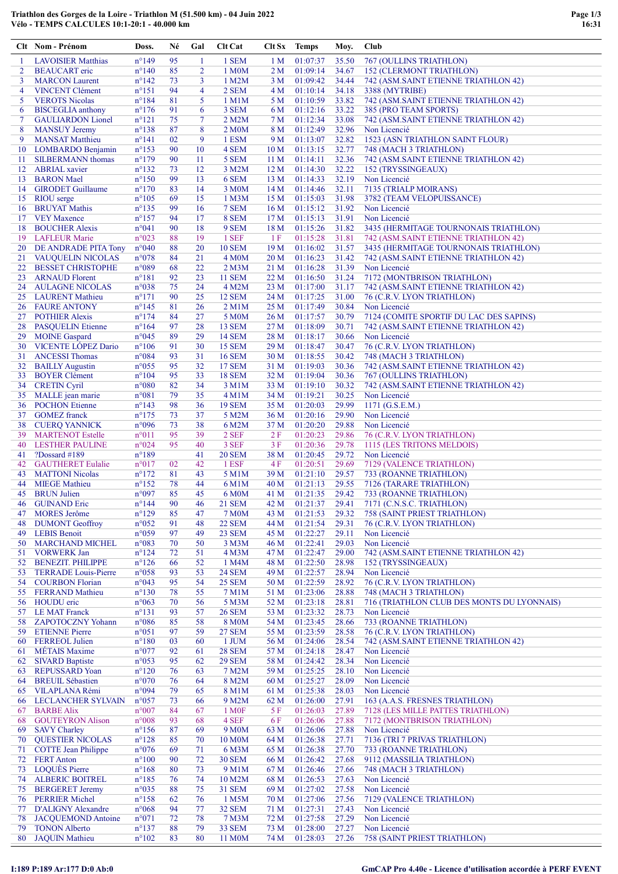|                     | Clt Nom - Prénom                                      | Doss.                            | Né       | Gal                 | <b>Clt Cat</b>                 | Clt Sx                             | <b>Temps</b>         | Moy.           | Club                                                                |
|---------------------|-------------------------------------------------------|----------------------------------|----------|---------------------|--------------------------------|------------------------------------|----------------------|----------------|---------------------------------------------------------------------|
|                     | <b>LAVOISIER Matthias</b>                             | $n^{\circ}149$                   | 95       | 1                   | 1 SEM                          | 1 M                                | 01:07:37             | 35.50          | 767 (OULLINS TRIATHLON)                                             |
| $\overline{2}$      | <b>BEAUCART</b> eric                                  | $n^{\circ}140$                   | 85       | 2                   | 1 M <sub>0</sub> M             | 2 M                                | 01:09:14             | 34.67          | <b>152 (CLERMONT TRIATHLON)</b>                                     |
| 3                   | <b>MARCON</b> Laurent<br><b>VINCENT Clément</b>       | $n^{\circ}142$<br>$n^{\circ}151$ | 73<br>94 | 3<br>$\overline{4}$ | 1 M2M<br>2 SEM                 | 3 M                                | 01:09:42<br>01:10:14 | 34.44<br>34.18 | 742 (ASM.SAINT ETIENNE TRIATHLON 42)                                |
| $\overline{4}$<br>5 | <b>VEROTS Nicolas</b>                                 | $n^{\circ}184$                   | 81       | 5                   | 1 M1M                          | 4 M<br>5 M                         | 01:10:59             | 33.82          | 3388 (MYTRIBE)<br>742 (ASM.SAINT ETIENNE TRIATHLON 42)              |
| 6                   | <b>BISCEGLIA</b> anthony                              | $n^{\circ}176$                   | 91       | 6                   | 3 SEM                          | 6 M                                | 01:12:16             | 33.22          | 385 (PRO TEAM SPORTS)                                               |
| 7                   | <b>GAULIARDON Lionel</b>                              | $n^{\circ}121$                   | 75       | 7                   | 2 M2M                          | 7 M                                | 01:12:34             | 33.08          | 742 (ASM.SAINT ETIENNE TRIATHLON 42)                                |
| 8                   | <b>MANSUY Jeremy</b>                                  | $n^{\circ}138$                   | 87       | 8                   | 2 M <sub>0</sub> M             | 8 M                                | 01:12:49             | 32.96          | Non Licencié                                                        |
| 9                   | <b>MANSAT</b> Matthieu                                | $n^{\circ}141$                   | 02       | 9                   | 1 ESM                          | 9 M                                | 01:13:07             | 32.82          | 1523 (ASN TRIATHLON SAINT FLOUR)                                    |
| 10<br>11            | LOMBARDO Benjamin<br><b>SILBERMANN</b> thomas         | $n^{\circ}153$<br>$n^{\circ}179$ | 90<br>90 | 10<br>11            | 4 SEM<br>5 SEM                 | 10 <sub>M</sub><br>11 <sub>M</sub> | 01:13:15<br>01:14:11 | 32.77<br>32.36 | 748 (MACH 3 TRIATHLON)<br>742 (ASM.SAINT ETIENNE TRIATHLON 42)      |
| 12                  | <b>ABRIAL</b> xavier                                  | $n^{\circ}132$                   | 73       | 12                  | 3 M2M                          | 12 <sub>M</sub>                    | 01:14:30             | 32.22          | 152 (TRYSSINGEAUX)                                                  |
| 13                  | <b>BARON</b> Mael                                     | $n^{\circ}150$                   | 99       | 13                  | 6 SEM                          | 13 <sub>M</sub>                    | 01:14:33             | 32.19          | Non Licencié                                                        |
| 14                  | <b>GIRODET</b> Guillaume                              | $n^{\circ}170$                   | 83       | 14                  | 3 M <sub>0</sub> M             | 14 M                               | 01:14:46             | 32.11          | 7135 (TRIALP MOIRANS)                                               |
| 15                  | <b>RIOU</b> serge                                     | $n^{\circ}105$                   | 69       | 15                  | 1 M3M                          | 15 <sub>M</sub>                    | 01:15:03             | 31.98          | 3782 (TEAM VELOPUISSANCE)                                           |
| 16                  | <b>BRUYAT Mathis</b>                                  | $n^{\circ}$ 135                  | 99       | 16                  | 7 SEM                          | 16 <sub>M</sub>                    | 01:15:12             | 31.92          | Non Licencié                                                        |
| 18                  | 17 VEY Maxence<br><b>BOUCHER Alexis</b>               | $n^{\circ}157$<br>n°041          | 94<br>90 | 17<br>18            | 8 SEM<br>9 SEM                 | 17 <sub>M</sub><br>18 <sub>M</sub> | 01:15:13<br>01:15:26 | 31.91<br>31.82 | Non Licencié<br>3435 (HERMITAGE TOURNONAIS TRIATHLON)               |
| 19                  | <b>LAFLEUR Marie</b>                                  | n°023                            | 88       | 19                  | 1 SEF                          | 1 F                                | 01:15:28             | 31.81          | 742 (ASM.SAINT ETIENNE TRIATHLON 42)                                |
| 20                  | DE ANDRADE PITA Tony                                  | $n^{\circ}040$                   | 88       | 20                  | <b>10 SEM</b>                  | 19 <sub>M</sub>                    | 01:16:02             | 31.57          | 3435 (HERMITAGE TOURNONAIS TRIATHLON)                               |
|                     | 21 VAUQUELIN NICOLAS                                  | n°078                            | 84       | 21                  | 4 M <sub>0</sub> M             | 20 <sub>M</sub>                    | 01:16:23             | 31.42          | 742 (ASM.SAINT ETIENNE TRIATHLON 42)                                |
| 22                  | <b>BESSET CHRISTOPHE</b>                              | n°089                            | 68       | 22                  | 2 M3M                          | 21 M                               | 01:16:28             | 31.39          | Non Licencié                                                        |
| 23<br>24            | <b>ARNAUD Florent</b><br><b>AULAGNE NICOLAS</b>       | $n^{\circ}181$<br>n°038          | 92<br>75 | 23<br>24            | <b>11 SEM</b><br>4 M2M         | 22 M<br>23 M                       | 01:16:50<br>01:17:00 | 31.24<br>31.17 | 7172 (MONTBRISON TRIATHLON)<br>742 (ASM.SAINT ETIENNE TRIATHLON 42) |
| 25                  | <b>LAURENT</b> Mathieu                                | $n^{\circ}171$                   | 90       | 25                  | <b>12 SEM</b>                  | 24 M                               | 01:17:25             | 31.00          | 76 (C.R.V. LYON TRIATHLON)                                          |
|                     | <b>26 FAURE ANTONY</b>                                | $n^{\circ}145$                   | 81       | 26                  | $2$ M $1$ M                    | 25 M                               | 01:17:49             | 30.84          | Non Licencié                                                        |
| 27                  | <b>POTHIER Alexis</b>                                 | $n^{\circ}174$                   | 84       | 27                  | 5 M0M                          | 26 M                               | 01:17:57             | 30.79          | 7124 (COMITE SPORTIF DU LAC DES SAPINS)                             |
| 28                  | <b>PASQUELIN Etienne</b>                              | $n^{\circ}164$                   | 97       | 28                  | <b>13 SEM</b>                  | 27 M                               | 01:18:09             | 30.71          | 742 (ASM.SAINT ETIENNE TRIATHLON 42)                                |
| 29                  | <b>MOINE</b> Gaspard                                  | n°045                            | 89       | 29                  | <b>14 SEM</b>                  | 28 M                               | 01:18:17             | 30.66          | Non Licencié                                                        |
| 30<br>31            | VICENTE LÓPEZ Dario<br><b>ANCESSI Thomas</b>          | $n^{\circ}106$<br>n°084          | 91<br>93 | 30<br>31            | <b>15 SEM</b><br><b>16 SEM</b> | 29 M<br>30 <sub>M</sub>            | 01:18:47<br>01:18:55 | 30.47<br>30.42 | 76 (C.R.V. LYON TRIATHLON)<br>748 (MACH 3 TRIATHLON)                |
| 32                  | <b>BAILLY Augustin</b>                                | $n^{\circ}055$                   | 95       | 32                  | <b>17 SEM</b>                  | 31 M                               | 01:19:03             | 30.36          | 742 (ASM.SAINT ETIENNE TRIATHLON 42)                                |
| 33                  | <b>BOYER Clément</b>                                  | $n^{\circ}104$                   | 95       | 33                  | <b>18 SEM</b>                  | 32 M                               | 01:19:04             | 30.36          | 767 (OULLINS TRIATHLON)                                             |
| 34                  | <b>CRETIN Cyril</b>                                   | $n^{\circ}080$                   | 82       | 34                  | 3 M1M                          | 33 M                               | 01:19:10             | 30.32          | 742 (ASM.SAINT ETIENNE TRIATHLON 42)                                |
| 35                  | MALLE jean marie                                      | n°081                            | 79       | 35                  | $4$ M $1$ M                    | 34 M                               | 01:19:21             | 30.25          | Non Licencié                                                        |
| 36                  | <b>POCHON</b> Etienne                                 | $n^{\circ}143$                   | 98       | 36                  | <b>19 SEM</b>                  | 35 M                               | 01:20:03             | 29.99          | $1171$ (G.S.E.M.)                                                   |
| 37<br>38            | <b>GOMEZ</b> franck<br><b>CUERQ YANNICK</b>           | $n^{\circ}175$<br>n°096          | 73<br>73 | 37<br>38            | 5 M2M<br>6 M2M                 | 36 M<br>37 M                       | 01:20:16<br>01:20:20 | 29.90<br>29.88 | Non Licencié<br>Non Licencié                                        |
| 39                  | <b>MARTENOT Estelle</b>                               | $n^{\circ}011$                   | 95       | 39                  | 2 SEF                          | 2F                                 | 01:20:23             | 29.86          | 76 (C.R.V. LYON TRIATHLON)                                          |
| 40                  | <b>LESTHER PAULINE</b>                                | $n^{\circ}024$                   | 95       | 40                  | 3 SEF                          | 3 F                                | 01:20:36             | 29.78          | 1115 (LES TRITONS MELDOIS)                                          |
| 41                  | $?$ Dossard #189                                      | $n^{\circ}189$                   |          | 41                  | <b>20 SEM</b>                  | 38 M                               | 01:20:45             | 29.72          | Non Licencié                                                        |
| 42                  | <b>GAUTHERET Eulalie</b>                              | $n^{\circ}017$                   | 02       | 42                  | 1 ESF                          | 4F                                 | 01:20:51             | 29.69          | 7129 (VALENCE TRIATHLON)                                            |
| 43                  | <b>MATTONI Nicolas</b>                                | $n^{\circ}172$<br>$n^{\circ}152$ | 81<br>78 | 43<br>44            | 5 M1M                          | 39 M                               | 01:21:10<br>01:21:13 | 29.57<br>29.55 | 733 (ROANNE TRIATHLON)                                              |
| 44                  | <b>MIEGE Mathieu</b><br>45 BRUN Julien                | n°097                            | 85       | 45                  | 6 M1M<br>6 M0M                 | 40 M<br>41 M                       | 01:21:35             | 29.42          | 7126 (TARARE TRIATHLON)<br>733 (ROANNE TRIATHLON)                   |
| 46                  | <b>GUINAND Eric</b>                                   | $n^{\circ}144$                   | 90       | 46                  | <b>21 SEM</b>                  |                                    | 42 M 01:21:37        | 29.41          | 7171 (C.N.S.C. TRIATHLON)                                           |
| 47                  | <b>MORES</b> Jerôme                                   | $n^{\circ}129$                   | 85       | 47                  | <b>7 M0M</b>                   | 43 M                               | 01:21:53             | 29.32          | 758 (SAINT PRIEST TRIATHLON)                                        |
| 48                  | <b>DUMONT Geoffroy</b>                                | $n^{\circ}052$                   | 91       | 48                  | <b>22 SEM</b>                  | 44 M                               | 01:21:54             | 29.31          | 76 (C.R.V. LYON TRIATHLON)                                          |
| 49                  | <b>LEBIS</b> Benoit                                   | n°059                            | 97       | 49                  | 23 SEM                         | 45 M                               | 01:22:27             | 29.11          | Non Licencié                                                        |
| 50<br>51            | <b>MARCHAND MICHEL</b><br><b>VORWERK Jan</b>          | n°083<br>$n^{\circ}124$          | 70<br>72 | 50<br>51            | 3 M3M<br>4 M <sub>3</sub> M    | 46 M<br>47 M                       | 01:22:41<br>01:22:47 | 29.03<br>29.00 | Non Licencié<br>742 (ASM.SAINT ETIENNE TRIATHLON 42)                |
| 52                  | <b>BENEZIT. PHILIPPE</b>                              | $n^{\circ}126$                   | 66       | 52                  | 1 M4M                          | 48 M                               | 01:22:50             | 28.98          | 152 (TRYSSINGEAUX)                                                  |
| 53                  | <b>TERRADE</b> Louis-Pierre                           | $n^{\circ}058$                   | 93       | 53                  | <b>24 SEM</b>                  | 49 M                               | 01:22:57             | 28.94          | Non Licencié                                                        |
| 54                  | <b>COURBON Florian</b>                                | n°043                            | 95       | 54                  | <b>25 SEM</b>                  | 50 M                               | 01:22:59             | 28.92          | 76 (C.R.V. LYON TRIATHLON)                                          |
| 55                  | <b>FERRAND Mathieu</b>                                | $n^{\circ}130$                   | 78       | 55                  | 7 M1M                          | 51 M                               | 01:23:06             | 28.88          | 748 (MACH 3 TRIATHLON)                                              |
| 56                  | HOUDU eric                                            | $n^{\circ}063$                   | 70       | 56                  | 5 M3M                          | 52 M                               | 01:23:18             | 28.81          | 716 (TRIATHLON CLUB DES MONTS DU LYONNAIS)                          |
| 57<br>58            | <b>LE MAT Franck</b><br><b>ZAPOTOCZNY Yohann</b>      | $n^{\circ}131$<br>$n^{\circ}086$ | 93<br>85 | 57<br>58            | <b>26 SEM</b><br><b>8 M0M</b>  | 53 M<br>54 M                       | 01:23:32<br>01:23:45 | 28.73<br>28.66 | Non Licencié<br>733 (ROANNE TRIATHLON)                              |
| 59                  | <b>ETIENNE Pierre</b>                                 | n°051                            | 97       | 59                  | <b>27 SEM</b>                  | 55 M                               | 01:23:59             | 28.58          | 76 (C.R.V. LYON TRIATHLON)                                          |
| 60                  | <b>FERREOL Julien</b>                                 | $n^{\circ}180$                   | 03       | 60                  | 1 JUM                          | 56 M                               | 01:24:06             | 28.54          | 742 (ASM.SAINT ETIENNE TRIATHLON 42)                                |
| 61                  | <b>MÉTAIS</b> Maxime                                  | n°077                            | 92       | 61                  | <b>28 SEM</b>                  | 57 M                               | 01:24:18             | 28.47          | Non Licencié                                                        |
| 62                  | <b>SIVARD Baptiste</b>                                | $n^{\circ}053$                   | 95       | 62                  | <b>29 SEM</b>                  | 58 M                               | 01:24:42             | 28.34          | Non Licencié                                                        |
| 63<br>64            | <b>REPUSSARD Yoan</b><br><b>BREUIL Sébastien</b>      | $n^{\circ}120$<br>$n^{\circ}070$ | 76<br>76 | 63<br>64            | 7 M2M<br>8 M2M                 | 59 M<br>60 <sub>M</sub>            | 01:25:25<br>01:25:27 | 28.10<br>28.09 | Non Licencié<br>Non Licencié                                        |
| 65                  | VILAPLANA Rémi                                        | n°094                            | 79       | 65                  | 8 M1M                          | 61 M                               | 01:25:38             | 28.03          | Non Licencié                                                        |
| 66                  | LECLANCHER SYLVAIN                                    | $n^{\circ}057$                   | 73       | 66                  | 9 M2M                          | 62 M                               | 01:26:00             | 27.91          | 163 (A.A.S. FRESNES TRIATHLON)                                      |
| 67                  | <b>BARBE Alix</b>                                     | $n^{\circ}007$                   | 84       | 67                  | 1 M <sub>OF</sub>              | 5 F                                | 01:26:03             | 27.89          | 7128 (LES MILLE PATTES TRIATHLON)                                   |
| 68                  | <b>GOUTEYRON Alison</b>                               | $n^{\circ}008$                   | 93       | 68                  | 4 SEF                          | 6 F                                | 01:26:06             | 27.88          | 7172 (MONTBRISON TRIATHLON)                                         |
| 69                  | <b>SAVY Charley</b>                                   | $n^{\circ}156$                   | 87       | 69                  | 9 M <sub>0</sub> M             | 63 M                               | 01:26:06             | 27.88          | Non Licencié                                                        |
| 70<br>71            | <b>QUESTIER NICOLAS</b><br><b>COTTE Jean Philippe</b> | $n^{\circ}128$<br>$n^{\circ}076$ | 85<br>69 | 70<br>71            | 10 M <sub>0</sub> M<br>6 M3M   | 64 M<br>65 M                       | 01:26:38<br>01:26:38 | 27.71<br>27.70 | 7136 (TRI 7 PRIVAS TRIATHLON)<br>733 (ROANNE TRIATHLON)             |
| 72                  | <b>FERT Anton</b>                                     | $n^{\circ}100$                   | 90       | 72                  | <b>30 SEM</b>                  | 66 M                               | 01:26:42             | 27.68          | 9112 (MASSILIA TRIATHLON)                                           |
| 73                  | <b>LOQUES</b> Pierre                                  | $n^{\circ}168$                   | 80       | 73                  | 9 M1M                          | 67 M                               | 01:26:46             | 27.66          | 748 (MACH 3 TRIATHLON)                                              |
| 74                  | <b>ALBERIC BOITREL</b>                                | $n^{\circ}185$                   | 76       | 74                  | 10 M2M                         | 68 M                               | 01:26:53             | 27.63          | Non Licencié                                                        |
| 75                  | <b>BERGERET Jeremy</b>                                | n°035                            | 88       | 75                  | 31 SEM                         | 69 M                               | 01:27:02             | 27.58          | Non Licencié                                                        |
| 76                  | <b>PERRIER Michel</b><br><b>D'ALIGNY Alexandre</b>    | $n^{\circ}158$<br>$n^{\circ}068$ | 62<br>94 | 76<br>77            | 1 M5M<br>32 SEM                | 70 M<br>71 M                       | 01:27:06<br>01:27:31 | 27.56<br>27.43 | 7129 (VALENCE TRIATHLON)<br>Non Licencié                            |
| 77<br>78            | <b>JACQUEMOND Antoine</b>                             | $n^{\circ}071$                   | 72       | 78                  | 7 M3M                          | 72 M                               | 01:27:58             | 27.29          | Non Licencié                                                        |
| 79                  | <b>TONON Alberto</b>                                  | $n^{\circ}137$                   | 88       | 79                  | 33 SEM                         | 73 M                               | 01:28:00             | 27.27          | Non Licencié                                                        |
| 80                  | <b>JAQUIN Mathieu</b>                                 | $n^{\circ}102$                   | 83       | 80                  | 11 M <sub>0</sub> M            | 74 M                               | 01:28:03             | 27.26          | 758 (SAINT PRIEST TRIATHLON)                                        |

Triathlon des Gorges de la Loire - Triathlon M (51.500 km) - 04 Juin 2022 Vélo - TEMPS CALCULES 10:1-20:1 - 40.000 km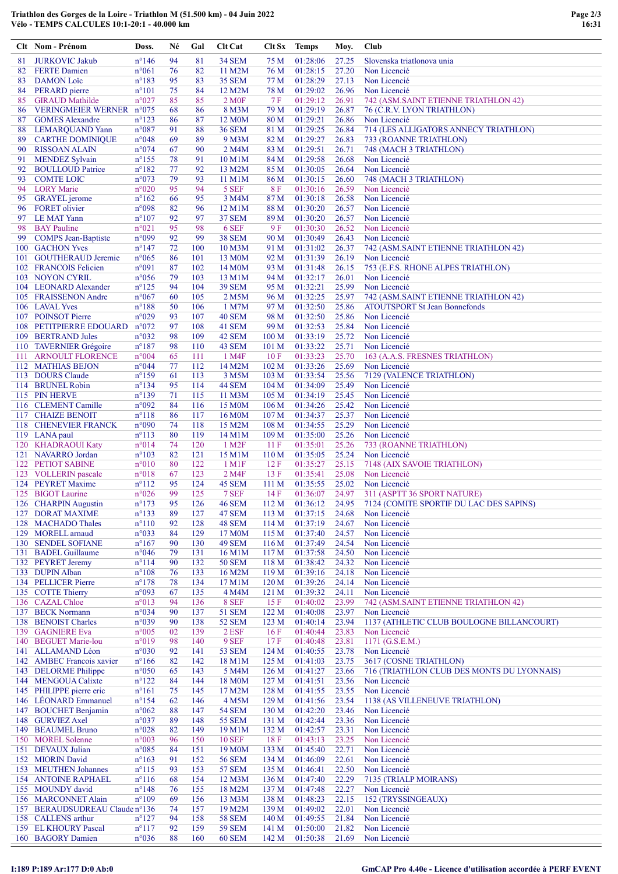|          | Clt Nom - Prénom                                      | Doss.                            | Né       | Gal        | Clt Cat                     | Clt Sx                    | <b>Temps</b>         | Moy.           | Club                                                                 |
|----------|-------------------------------------------------------|----------------------------------|----------|------------|-----------------------------|---------------------------|----------------------|----------------|----------------------------------------------------------------------|
| 81       | <b>JURKOVIC Jakub</b>                                 | $n^{\circ}$ 146                  | 94       | 81         | <b>34 SEM</b>               | 75 M                      | 01:28:06             | 27.25          | Slovenska triatlonova unia                                           |
| 82       | <b>FERTE</b> Damien                                   | $n^{\circ}061$                   | 76       | 82         | 11 M2M                      | 76 M                      | 01:28:15             | 27.20          | Non Licencié                                                         |
| 83       | <b>DAMON</b> Loïc                                     | $n^{\circ}183$                   | 95       | 83<br>84   | <b>35 SEM</b>               | 77 M                      | 01:28:29             | 27.13          | Non Licencié<br>Non Licencié                                         |
| 84<br>85 | PERARD pierre<br><b>GIRAUD</b> Mathilde               | $n^{\circ}101$<br>n°027          | 75<br>85 | 85         | 12 M2M<br>2 M <sub>OF</sub> | 78 M<br>7F                | 01:29:02<br>01:29:12 | 26.96<br>26.91 | 742 (ASM.SAINT ETIENNE TRIATHLON 42)                                 |
| 86       | <b>VERINGMEIER WERNER</b>                             | $n^{\circ}075$                   | 68       | 86         | 8 M3M                       | 79 M                      | 01:29:19             | 26.87          | 76 (C.R.V. LYON TRIATHLON)                                           |
| 87       | <b>GOMES Alexandre</b>                                | $n^{\circ}123$                   | 86       | 87         | 12 M <sub>0</sub> M         | 80 M                      | 01:29:21             | 26.86          | Non Licencié                                                         |
| 88       | <b>LEMARQUAND Yann</b>                                | n°087                            | 91       | 88         | <b>36 SEM</b>               | 81 M                      | 01:29:25             | 26.84          | 714 (LES ALLIGATORS ANNECY TRIATHLON)                                |
| 89       | <b>CARTHE DOMINIQUE</b>                               | n°048                            | 69       | 89         | 9 M3M                       | 82 M                      | 01:29:27             | 26.83          | 733 (ROANNE TRIATHLON)                                               |
| 90       | <b>RISSOAN ALAIN</b>                                  | $n^{\circ}074$<br>$n^{\circ}155$ | 67<br>78 | 90<br>91   | 2 M4M                       | 83 M                      | 01:29:51<br>01:29:58 | 26.71<br>26.68 | 748 (MACH 3 TRIATHLON)                                               |
| 91<br>92 | <b>MENDEZ Sylvain</b><br><b>BOULLOUD Patrice</b>      | $n^{\circ}182$                   | 77       | 92         | 10 M1M<br>13 M2M            | 84 M<br>85 M              | 01:30:05             | 26.64          | Non Licencié<br>Non Licencié                                         |
| 93       | <b>COMTE LOIC</b>                                     | n°073                            | 79       | 93         | 11 M1M                      | 86 M                      | 01:30:15             | 26.60          | 748 (MACH 3 TRIATHLON)                                               |
| 94       | <b>LORY</b> Marie                                     | n°020                            | 95       | 94         | 5 SEF                       | 8F                        | 01:30:16             | 26.59          | Non Licencié                                                         |
| 95       | <b>GRAYEL</b> jerome                                  | $n^{\circ}162$                   | 66       | 95         | 3 M4M                       | 87 M                      | 01:30:18             | 26.58          | Non Licencié                                                         |
| 96       | <b>FORET</b> olivier                                  | n°098                            | 82       | 96         | 12 M1M                      | 88 M                      | 01:30:20             | 26.57          | Non Licencié                                                         |
| 98       | 97 LE MAT Yann<br><b>BAY</b> Pauline                  | $n^{\circ}107$<br>n°021          | 92<br>95 | 97<br>98   | <b>37 SEM</b><br>6 SEF      | 89 M<br>9 F               | 01:30:20<br>01:30:30 | 26.57<br>26.52 | Non Licencié<br>Non Licencié                                         |
| 99       | <b>COMPS</b> Jean-Baptiste                            | n°099                            | 92       | 99         | <b>38 SEM</b>               | 90 M                      | 01:30:49             | 26.43          | Non Licencié                                                         |
|          | 100 GACHON Yves                                       | $n^{\circ}$ 147                  | 72       | 100        | 10 M3M                      | 91 M                      | 01:31:02             | 26.37          | 742 (ASM.SAINT ETIENNE TRIATHLON 42)                                 |
| 101      | <b>GOUTHERAUD Jeremie</b>                             | n°065                            | 86       | 101        | 13 M <sub>0</sub> M         | 92 M                      | 01:31:39             | 26.19          | Non Licencié                                                         |
|          | 102 FRANCOIS Felicien                                 | n°091                            | 87       | 102        | 14 M <sub>0</sub> M         | 93 M                      | 01:31:48             | 26.15          | 753 (E.F.S. RHONE ALPES TRIATHLON)                                   |
|          | 103 NOYON CYRIL                                       | n°056                            | 79       | 103        | 13 M1M                      | 94 M                      | 01:32:17             | 26.01          | Non Licencié                                                         |
|          | 104 LEONARD Alexander<br>105 FRAISSENON Andre         | $n^{\circ}125$<br>$n^{\circ}067$ | 94<br>60 | 104<br>105 | <b>39 SEM</b><br>2 M5M      | 95 M<br>96 M              | 01:32:21<br>01:32:25 | 25.99<br>25.97 | Non Licencié<br>742 (ASM.SAINT ETIENNE TRIATHLON 42)                 |
|          | 106 LAVAL Yves                                        | $n^{\circ}188$                   | 50       | 106        | 1 M7M                       | 97 M                      | 01:32:50             | 25.86          | <b>ATOUTSPORT St Jean Bonnefonds</b>                                 |
|          | 107 POINSOT Pierre                                    | n°029                            | 93       | 107        | <b>40 SEM</b>               | 98 M                      | 01:32:50             | 25.86          | Non Licencié                                                         |
|          | 108 PETITPIERRE EDOUARD                               | $n^{\circ}072$                   | 97       | 108        | 41 SEM                      | 99 M                      | 01:32:53             | 25.84          | Non Licencié                                                         |
|          | 109 BERTRAND Jules                                    | n°032                            | 98       | 109        | 42 SEM                      | 100 <sub>M</sub>          | 01:33:19             | 25.72          | Non Licencié                                                         |
|          | 110 TAVERNIER Grégoire                                | $n^{\circ}187$                   | 98       | 110        | 43 SEM                      | 101 <sub>M</sub>          | 01:33:22             | 25.71          | Non Licencié                                                         |
|          | 111 ARNOULT FLORENCE<br>112 MATHIAS BEJON             | n°004<br>$n^{\circ}044$          | 65<br>77 | 111<br>112 | 1 M4F<br>14 M2M             | 10 F<br>102 M             | 01:33:23<br>01:33:26 | 25.70<br>25.69 | 163 (A.A.S. FRESNES TRIATHLON)<br>Non Licencié                       |
|          | 113 DOURS Claude                                      | $n^{\circ}159$                   | 61       | 113        | 3 M5M                       | 103 <sub>M</sub>          | 01:33:54             | 25.56          | 7129 (VALENCE TRIATHLON)                                             |
|          | 114 BRUNEL Robin                                      | $n^{\circ}$ 134                  | 95       | 114        | <b>44 SEM</b>               | 104 <sub>M</sub>          | 01:34:09             | 25.49          | Non Licencié                                                         |
|          | 115 PIN HERVE                                         | $n^{\circ}139$                   | 71       | 115        | 11 M3M                      | 105 M                     | 01:34:19             | 25.45          | Non Licencié                                                         |
|          | 116 CLEMENT Camille                                   | n°092                            | 84       | 116        | 15 M <sub>0</sub> M         | 106 <sub>M</sub>          | 01:34:26             | 25.42          | Non Licencié                                                         |
| 117      | <b>CHAIZE BENOIT</b>                                  | $n^{\circ}118$                   | 86       | 117<br>118 | 16 M <sub>0</sub> M         | 107 <sub>M</sub><br>108 M | 01:34:37             | 25.37<br>25.29 | Non Licencié                                                         |
|          | 118 CHENEVIER FRANCK<br>119 LANA paul                 | n°090<br>$n^{\circ}113$          | 74<br>80 | 119        | 15 M2M<br>14 M1M            | 109 <sub>M</sub>          | 01:34:55<br>01:35:00 | 25.26          | Non Licencié<br>Non Licencié                                         |
|          | 120 KHADRAOUI Katy                                    | n°014                            | 74       | 120        | 1 M2F                       | 11F                       | 01:35:01             | 25.26          | 733 (ROANNE TRIATHLON)                                               |
|          | 121 NAVARRO Jordan                                    | $n^{\circ}103$                   | 82       | 121        | 15 M1M                      | 110 <sub>M</sub>          | 01:35:05             | 25.24          | Non Licencié                                                         |
|          | 122 PETIOT SABINE                                     | $n^{\circ}010$                   | 80       | 122        | $1 \text{ M1F}$             | 12 F                      | 01:35:27             | 25.15          | 7148 (AIX SAVOIE TRIATHLON)                                          |
|          | 123 VOLLERIN pascale                                  | $n^{\circ}018$                   | 67       | 123        | 2 M4F                       | 13F                       | 01:35:41             | 25.08          | Non Licencié                                                         |
|          | 124 PEYRET Maxime<br>125 BIGOT Laurine                | $n^{\circ}112$<br>n°026          | 95<br>99 | 124<br>125 | 45 SEM<br>7 SEF             | 111 <sub>M</sub><br>14F   | 01:35:55<br>01:36:07 | 25.02<br>24.97 | Non Licencié<br>311 (ASPTT 36 SPORT NATURE)                          |
|          | 126 CHARPIN Augustin                                  | $n^{\circ}173$                   | 95       | 126        | 46 SEM                      | 112 M                     | 01:36:12             | 24.95          | 7124 (COMITE SPORTIF DU LAC DES SAPINS)                              |
|          | 127 DORAT MAXIME                                      | $n^{\circ}133$                   | 89       | 127        | 47 SEM                      | 113M                      | 01:37:15             | 24.68          | Non Licencié                                                         |
|          | 128 MACHADO Thales                                    | $n^{\circ}110$                   | 92       | 128        | 48 SEM                      | 114M                      | 01:37:19             | 24.67          | Non Licencié                                                         |
| 129      | MORELL arnaud                                         | n°033                            | 84       | 129        | 17 M0M                      | 115M                      | 01:37:40             | 24.57          | Non Licencié                                                         |
|          | <b>130 SENDEL SOFIANE</b><br>131 BADEL Guillaume      | $n^{\circ}167$<br>$n^{\circ}046$ | 90<br>79 | 130<br>131 | 49 SEM<br>16 M1M            | 116M<br>117 <sub>M</sub>  | 01:37:49<br>01:37:58 | 24.54<br>24.50 | Non Licencié<br>Non Licencié                                         |
|          | 132 PEYRET Jeremy                                     | $n^{\circ}114$                   | 90       | 132        | <b>50 SEM</b>               | 118 M                     | 01:38:42             | 24.32          | Non Licencié                                                         |
|          | 133 DUPIN Alban                                       | $n^{\circ}108$                   | 76       | 133        | 16 M2M                      | 119 <sub>M</sub>          | 01:39:16             | 24.18          | Non Licencié                                                         |
|          | 134 PELLICER Pierre                                   | $n^{\circ}178$                   | 78       | 134        | 17 M1M                      | 120 <sub>M</sub>          | 01:39:26             | 24.14          | Non Licencié                                                         |
|          | 135 COTTE Thierry                                     | n°093                            | 67       | 135        | 4 M4M                       | 121 <sub>M</sub>          | 01:39:32             | 24.11          | Non Licencié                                                         |
|          | 136 CAZAL Chloe<br>137 BECK Normann                   | n°013<br>n°034                   | 94<br>90 | 136<br>137 | 8 SEF<br><b>51 SEM</b>      | 15F<br>122 M              | 01:40:02<br>01:40:08 | 23.99<br>23.97 | 742 (ASM.SAINT ETIENNE TRIATHLON 42)<br>Non Licencié                 |
|          | 138 BENOIST Charles                                   | n°039                            | 90       | 138        | 52 SEM                      | 123 M                     | 01:40:14             | 23.94          | 1137 (ATHLETIC CLUB BOULOGNE BILLANCOURT)                            |
| 139      | <b>GAGNIERE Eva</b>                                   | n°005                            | 02       | 139        | 2 ESF                       | 16F                       | 01:40:44             | 23.83          | Non Licencié                                                         |
| 140      | <b>BEGUET Marie-lou</b>                               | n°019                            | 98       | 140        | 9 SEF                       | 17F                       | 01:40:48             | 23.81          | $1171$ (G.S.E.M.)                                                    |
|          | 141 ALLAMAND Léon                                     | $n^{\circ}030$                   | 92       | 141        | <b>53 SEM</b>               | 124M                      | 01:40:55             | 23.78          | Non Licencié                                                         |
|          | 142 AMBEC Francois xavier<br>143 DELORME Philippe     | $n^{\circ}166$                   | 82<br>65 | 142<br>143 | 18 M1M<br>5 M4M             | 125 M<br>126 M            | 01:41:03             | 23.75<br>23.66 | 3617 (COSNE TRIATHLON)<br>716 (TRIATHLON CLUB DES MONTS DU LYONNAIS) |
|          | 144 MENGOUA Calixte                                   | $n^{\circ}050$<br>$n^{\circ}122$ | 84       | 144        | 18 M0M                      | 127 M                     | 01:41:27<br>01:41:51 | 23.56          | Non Licencié                                                         |
|          | 145 PHILIPPE pierre eric                              | $n^{\circ}161$                   | 75       | 145        | 17 M2M                      | 128 M                     | 01:41:55             | 23.55          | Non Licencié                                                         |
| 146      | <b>LÉONARD</b> Emmanuel                               | $n^{\circ}154$                   | 62       | 146        | 4 M <sub>5</sub> M          | 129 M                     | 01:41:56             | 23.54          | 1138 (AS VILLENEUVE TRIATHLON)                                       |
|          | 147 BOUCHET Benjamin                                  | $n^{\circ}062$                   | 88       | 147        | <b>54 SEM</b>               | 130 <sub>M</sub>          | 01:42:20             | 23.46          | Non Licencié                                                         |
| 148      | <b>GURVIEZ Axel</b>                                   | n°037                            | 89       | 148        | <b>55 SEM</b>               | 131 M                     | 01:42:44             | 23.36          | Non Licencié                                                         |
|          | 149 BEAUMEL Bruno<br>150 MOREL Solenne                | $n^{\circ}028$<br>n°003          | 82<br>96 | 149<br>150 | 19 M1M<br><b>10 SEF</b>     | 132M<br>18F               | 01:42:57<br>01:43:13 | 23.31<br>23.25 | Non Licencié<br>Non Licencié                                         |
|          | 151 DEVAUX Julian                                     | n°085                            | 84       | 151        | 19 M <sub>0</sub> M         | 133 M                     | 01:45:40             | 22.71          | Non Licencié                                                         |
|          | 152 MIORIN David                                      | $n^{\circ}163$                   | 91       | 152        | <b>56 SEM</b>               | 134 M                     | 01:46:09             | 22.61          | Non Licencié                                                         |
|          | 153 MEUTHEN Johannes                                  | $n^{\circ}115$                   | 93       | 153        | <b>57 SEM</b>               | 135 M                     | 01:46:41             | 22.50          | Non Licencié                                                         |
|          | <b>154 ANTOINE RAPHAEL</b>                            | $n^{\circ}116$                   | 68       | 154        | 12 M3M                      | 136 <sub>M</sub>          | 01:47:40             | 22.29          | 7135 (TRIALP MOIRANS)                                                |
|          | 155 MOUNDY david                                      | $n^{\circ}148$<br>$n^{\circ}109$ | 76<br>69 | 155        | 18 M2M                      | 137 <sub>M</sub><br>138 M | 01:47:48<br>01:48:23 | 22.27<br>22.15 | Non Licencié<br>152 (TRYSSINGEAUX)                                   |
|          | 156 MARCONNET Alain<br>157 BERAUDSUDREAU Claude n°136 |                                  | 74       | 156<br>157 | 13 M3M<br>19 M2M            | 139 M                     | 01:49:02             | 22.01          | Non Licencié                                                         |
| 158      | <b>CALLENS</b> arthur                                 | $n^{\circ}127$                   | 94       | 158        | <b>58 SEM</b>               | 140 M                     | 01:49:55             | 21.84          | Non Licencié                                                         |
|          | 159 EL KHOURY Pascal                                  | $n^{\circ}117$                   | 92       | 159        | <b>59 SEM</b>               | 141 M                     | 01:50:00             | 21.82          | Non Licencié                                                         |
|          | 160 BAGORY Damien                                     | $n^{\circ}036$                   | 88       | 160        | 60 SEM                      | 142 M                     | 01:50:38             | 21.69          | Non Licencié                                                         |